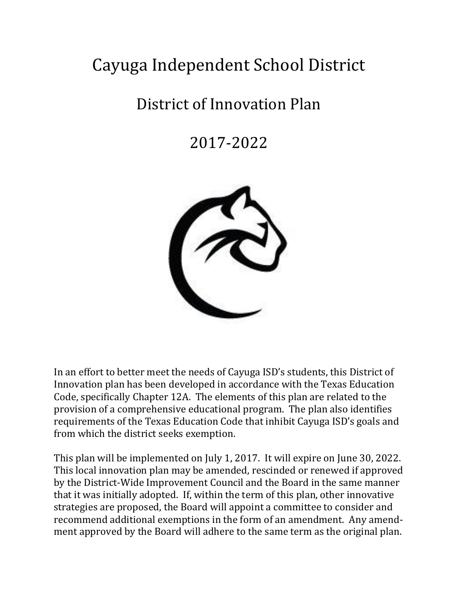# Cayuga Independent School District

## District of Innovation Plan

2017-2022



In an effort to better meet the needs of Cayuga ISD's students, this District of Innovation plan has been developed in accordance with the Texas Education Code, specifically Chapter 12A. The elements of this plan are related to the provision of a comprehensive educational program. The plan also identifies requirements of the Texas Education Code that inhibit Cayuga ISD's goals and from which the district seeks exemption.

This plan will be implemented on July 1, 2017. It will expire on June 30, 2022. This local innovation plan may be amended, rescinded or renewed if approved by the District-Wide Improvement Council and the Board in the same manner that it was initially adopted. If, within the term of this plan, other innovative strategies are proposed, the Board will appoint a committee to consider and recommend additional exemptions in the form of an amendment. Any amendment approved by the Board will adhere to the same term as the original plan.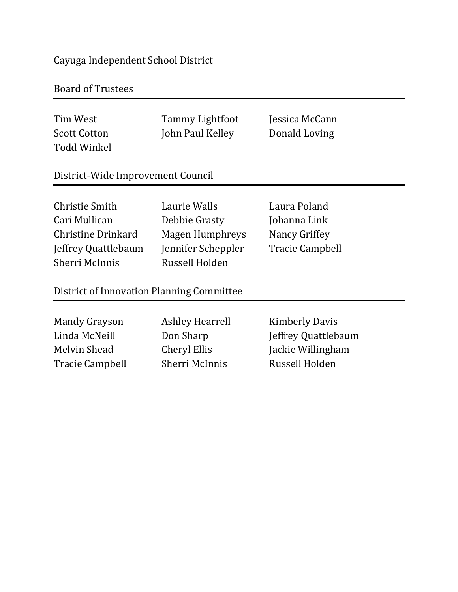## Cayuga Independent School District

## Board of Trustees

| Tim West<br><b>Scott Cotton</b><br><b>Todd Winkel</b>                                          | <b>Tammy Lightfoot</b><br>John Paul Kelley                                                      | Jessica McCann<br>Donald Loving                                                     |  |
|------------------------------------------------------------------------------------------------|-------------------------------------------------------------------------------------------------|-------------------------------------------------------------------------------------|--|
| District-Wide Improvement Council                                                              |                                                                                                 |                                                                                     |  |
| Christie Smith<br>Cari Mullican<br>Christine Drinkard<br>Jeffrey Quattlebaum<br>Sherri McInnis | Laurie Walls<br>Debbie Grasty<br><b>Magen Humphreys</b><br>Jennifer Scheppler<br>Russell Holden | Laura Poland<br>Johanna Link<br>Nancy Griffey<br><b>Tracie Campbell</b>             |  |
| District of Innovation Planning Committee                                                      |                                                                                                 |                                                                                     |  |
| <b>Mandy Grayson</b><br>Linda McNeill<br>Melvin Shead<br><b>Tracie Campbell</b>                | Ashley Hearrell<br>Don Sharp<br>Cheryl Ellis<br>Sherri McInnis                                  | <b>Kimberly Davis</b><br>Jeffrey Quattlebaum<br>Jackie Willingham<br>Russell Holden |  |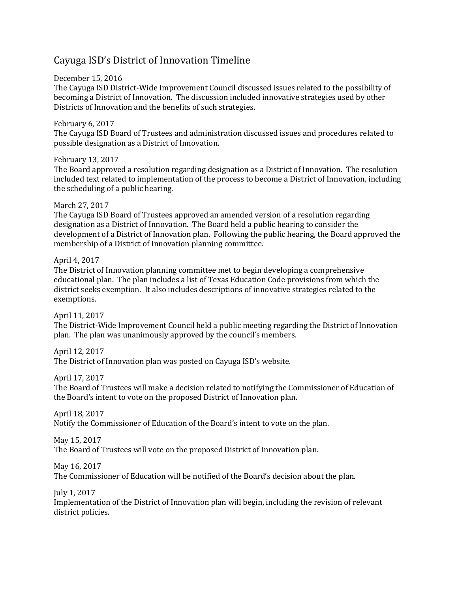## Cayuga ISD's District of Innovation Timeline

December 15, 2016

The Cayuga ISD District-Wide Improvement Council discussed issues related to the possibility of becoming a District of Innovation. The discussion included innovative strategies used by other Districts of Innovation and the benefits of such strategies.

February 6, 2017 The Cayuga ISD Board of Trustees and administration discussed issues and procedures related to possible designation as a District of Innovation.

February 13, 2017 The Board approved a resolution regarding designation as a District of Innovation. The resolution included text related to implementation of the process to become a District of Innovation, including the scheduling of a public hearing.

March 27, 2017

The Cayuga ISD Board of Trustees approved an amended version of a resolution regarding designation as a District of Innovation. The Board held a public hearing to consider the development of a District of Innovation plan. Following the public hearing, the Board approved the membership of a District of Innovation planning committee.

April 4, 2017

The District of Innovation planning committee met to begin developing a comprehensive educational plan. The plan includes a list of Texas Education Code provisions from which the district seeks exemption. It also includes descriptions of innovative strategies related to the exemptions.

April 11, 2017

The District-Wide Improvement Council held a public meeting regarding the District of Innovation plan. The plan was unanimously approved by the council's members.

April 12, 2017

The District of Innovation plan was posted on Cayuga ISD's website.

April 17, 2017

The Board of Trustees will make a decision related to notifying the Commissioner of Education of the Board's intent to vote on the proposed District of Innovation plan.

April 18, 2017 Notify the Commissioner of Education of the Board's intent to vote on the plan.

May 15, 2017

The Board of Trustees will vote on the proposed District of Innovation plan.

May 16, 2017

The Commissioner of Education will be notified of the Board's decision about the plan.

July 1, 2017

Implementation of the District of Innovation plan will begin, including the revision of relevant district policies.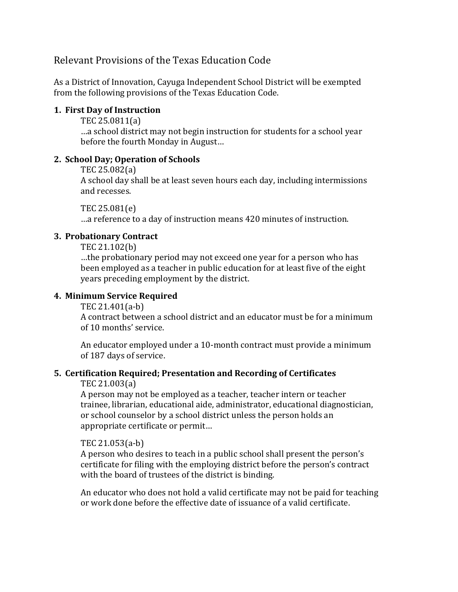## Relevant Provisions of the Texas Education Code

As a District of Innovation, Cayuga Independent School District will be exempted from the following provisions of the Texas Education Code.

#### **1. First Day of Instruction**

TEC 25.0811(a)

…a school district may not begin instruction for students for a school year before the fourth Monday in August…

#### **2. School Day; Operation of Schools**

TEC 25.082(a)

A school day shall be at least seven hours each day, including intermissions and recesses.

TEC 25.081(e)

…a reference to a day of instruction means 420 minutes of instruction.

#### **3. Probationary Contract**

TEC 21.102(b)

…the probationary period may not exceed one year for a person who has been employed as a teacher in public education for at least five of the eight years preceding employment by the district.

#### **4. Minimum Service Required**

TEC 21.401(a-b)

A contract between a school district and an educator must be for a minimum of 10 months' service.

An educator employed under a 10-month contract must provide a minimum of 187 days of service.

#### **5. Certification Required; Presentation and Recording of Certificates**

#### TEC 21.003(a)

A person may not be employed as a teacher, teacher intern or teacher trainee, librarian, educational aide, administrator, educational diagnostician, or school counselor by a school district unless the person holds an appropriate certificate or permit…

#### TEC 21.053(a-b)

A person who desires to teach in a public school shall present the person's certificate for filing with the employing district before the person's contract with the board of trustees of the district is binding.

An educator who does not hold a valid certificate may not be paid for teaching or work done before the effective date of issuance of a valid certificate.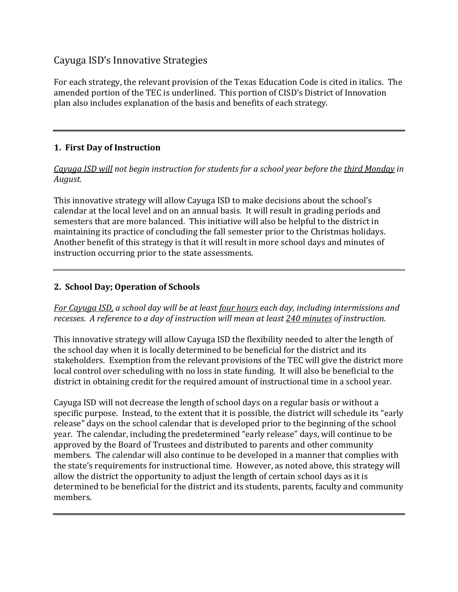## Cayuga ISD's Innovative Strategies

For each strategy, the relevant provision of the Texas Education Code is cited in italics. The amended portion of the TEC is underlined. This portion of CISD's District of Innovation plan also includes explanation of the basis and benefits of each strategy.

## **1. First Day of Instruction**

*Cayuga ISD will not begin instruction for students for a school year before the third Monday in August.*

This innovative strategy will allow Cayuga ISD to make decisions about the school's calendar at the local level and on an annual basis. It will result in grading periods and semesters that are more balanced. This initiative will also be helpful to the district in maintaining its practice of concluding the fall semester prior to the Christmas holidays. Another benefit of this strategy is that it will result in more school days and minutes of instruction occurring prior to the state assessments.

## **2. School Day; Operation of Schools**

*For Cayuga ISD, a school day will be at least four hours each day, including intermissions and recesses. A reference to a day of instruction will mean at least 240 minutes of instruction.*

This innovative strategy will allow Cayuga ISD the flexibility needed to alter the length of the school day when it is locally determined to be beneficial for the district and its stakeholders. Exemption from the relevant provisions of the TEC will give the district more local control over scheduling with no loss in state funding. It will also be beneficial to the district in obtaining credit for the required amount of instructional time in a school year.

Cayuga ISD will not decrease the length of school days on a regular basis or without a specific purpose. Instead, to the extent that it is possible, the district will schedule its "early release" days on the school calendar that is developed prior to the beginning of the school year. The calendar, including the predetermined "early release" days, will continue to be approved by the Board of Trustees and distributed to parents and other community members. The calendar will also continue to be developed in a manner that complies with the state's requirements for instructional time. However, as noted above, this strategy will allow the district the opportunity to adjust the length of certain school days as it is determined to be beneficial for the district and its students, parents, faculty and community members.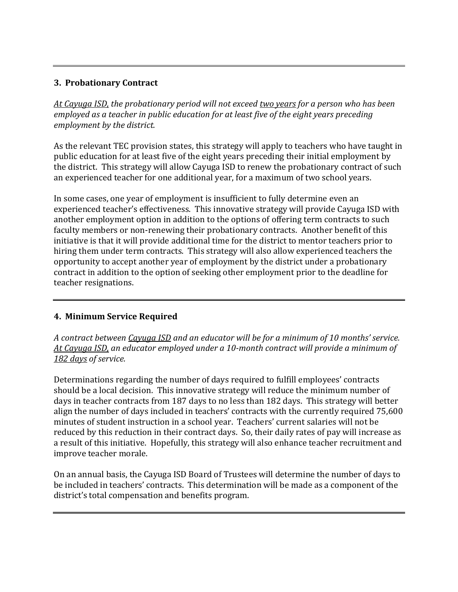#### **3. Probationary Contract**

*At Cayuga ISD, the probationary period will not exceed two years for a person who has been employed as a teacher in public education for at least five of the eight years preceding employment by the district.*

As the relevant TEC provision states, this strategy will apply to teachers who have taught in public education for at least five of the eight years preceding their initial employment by the district. This strategy will allow Cayuga ISD to renew the probationary contract of such an experienced teacher for one additional year, for a maximum of two school years.

In some cases, one year of employment is insufficient to fully determine even an experienced teacher's effectiveness. This innovative strategy will provide Cayuga ISD with another employment option in addition to the options of offering term contracts to such faculty members or non-renewing their probationary contracts. Another benefit of this initiative is that it will provide additional time for the district to mentor teachers prior to hiring them under term contracts. This strategy will also allow experienced teachers the opportunity to accept another year of employment by the district under a probationary contract in addition to the option of seeking other employment prior to the deadline for teacher resignations.

### **4. Minimum Service Required**

*A contract between Cayuga ISD and an educator will be for a minimum of 10 months' service. At Cayuga ISD, an educator employed under a 10-month contract will provide a minimum of 182 days of service.*

Determinations regarding the number of days required to fulfill employees' contracts should be a local decision. This innovative strategy will reduce the minimum number of days in teacher contracts from 187 days to no less than 182 days. This strategy will better align the number of days included in teachers' contracts with the currently required 75,600 minutes of student instruction in a school year. Teachers' current salaries will not be reduced by this reduction in their contract days. So, their daily rates of pay will increase as a result of this initiative. Hopefully, this strategy will also enhance teacher recruitment and improve teacher morale.

On an annual basis, the Cayuga ISD Board of Trustees will determine the number of days to be included in teachers' contracts. This determination will be made as a component of the district's total compensation and benefits program.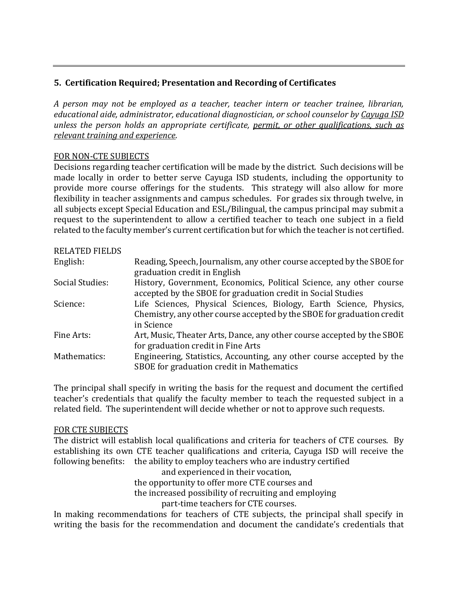### **5. Certification Required; Presentation and Recording of Certificates**

*A person may not be employed as a teacher, teacher intern or teacher trainee, librarian, educational aide, administrator, educational diagnostician, or school counselor by Cayuga ISD unless the person holds an appropriate certificate, permit, or other qualifications, such as relevant training and experience*.

#### FOR NON-CTE SUBJECTS

Decisions regarding teacher certification will be made by the district. Such decisions will be made locally in order to better serve Cayuga ISD students, including the opportunity to provide more course offerings for the students. This strategy will also allow for more flexibility in teacher assignments and campus schedules. For grades six through twelve, in all subjects except Special Education and ESL/Bilingual, the campus principal may submit a request to the superintendent to allow a certified teacher to teach one subject in a field related to the faculty member's current certification but for which the teacher is not certified.

| <b>RELATED FIELDS</b> |                                                                                                                                                            |
|-----------------------|------------------------------------------------------------------------------------------------------------------------------------------------------------|
| English:              | Reading, Speech, Journalism, any other course accepted by the SBOE for<br>graduation credit in English                                                     |
| Social Studies:       | History, Government, Economics, Political Science, any other course<br>accepted by the SBOE for graduation credit in Social Studies                        |
| Science:              | Life Sciences, Physical Sciences, Biology, Earth Science, Physics,<br>Chemistry, any other course accepted by the SBOE for graduation credit<br>in Science |
| Fine Arts:            | Art, Music, Theater Arts, Dance, any other course accepted by the SBOE<br>for graduation credit in Fine Arts                                               |
| Mathematics:          | Engineering, Statistics, Accounting, any other course accepted by the<br>SBOE for graduation credit in Mathematics                                         |

The principal shall specify in writing the basis for the request and document the certified teacher's credentials that qualify the faculty member to teach the requested subject in a related field. The superintendent will decide whether or not to approve such requests.

#### FOR CTE SUBJECTS

The district will establish local qualifications and criteria for teachers of CTE courses. By establishing its own CTE teacher qualifications and criteria, Cayuga ISD will receive the following benefits: the ability to employ teachers who are industry certified

> and experienced in their vocation, the opportunity to offer more CTE courses and the increased possibility of recruiting and employing part-time teachers for CTE courses.

In making recommendations for teachers of CTE subjects, the principal shall specify in writing the basis for the recommendation and document the candidate's credentials that